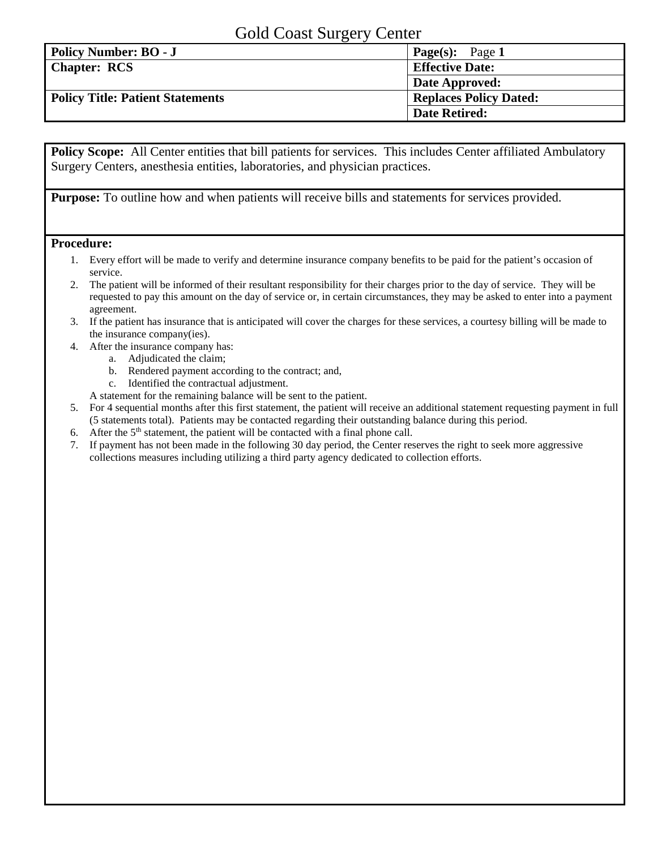## Gold Coast Surgery Center

| ັ                                       |                               |
|-----------------------------------------|-------------------------------|
| <b>Policy Number: BO - J</b>            | <b>Page(s):</b> Page 1        |
| <b>Chapter: RCS</b>                     | <b>Effective Date:</b>        |
|                                         | Date Approved:                |
| <b>Policy Title: Patient Statements</b> | <b>Replaces Policy Dated:</b> |
|                                         | <b>Date Retired:</b>          |

**Policy Scope:** All Center entities that bill patients for services. This includes Center affiliated Ambulatory Surgery Centers, anesthesia entities, laboratories, and physician practices.

**Purpose:** To outline how and when patients will receive bills and statements for services provided.

## **Procedure:**

- 1. Every effort will be made to verify and determine insurance company benefits to be paid for the patient's occasion of service.
- 2. The patient will be informed of their resultant responsibility for their charges prior to the day of service. They will be requested to pay this amount on the day of service or, in certain circumstances, they may be asked to enter into a payment agreement.
- 3. If the patient has insurance that is anticipated will cover the charges for these services, a courtesy billing will be made to the insurance company(ies).
- 4. After the insurance company has:
	- a. Adjudicated the claim;
	- b. Rendered payment according to the contract; and,
	- c. Identified the contractual adjustment.

A statement for the remaining balance will be sent to the patient.

- 5. For 4 sequential months after this first statement, the patient will receive an additional statement requesting payment in full (5 statements total). Patients may be contacted regarding their outstanding balance during this period.
- 6. After the  $5<sup>th</sup>$  statement, the patient will be contacted with a final phone call.
- 7. If payment has not been made in the following 30 day period, the Center reserves the right to seek more aggressive collections measures including utilizing a third party agency dedicated to collection efforts.